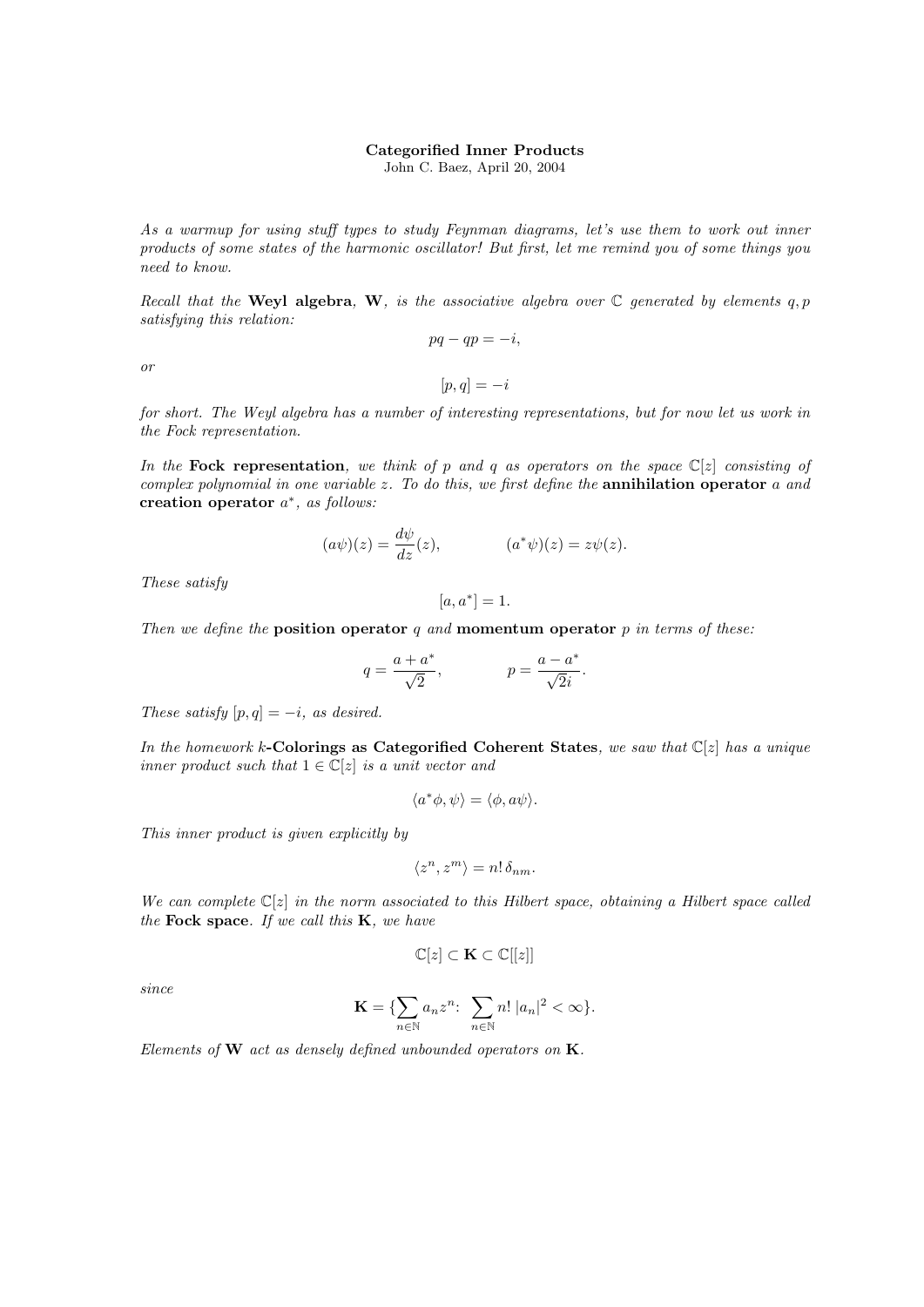## Categorified Inner Products

John C. Baez, April 20, 2004

As a warmup for using stuff types to study Feynman diagrams, let's use them to work out inner products of some states of the harmonic oscillator! But first, let me remind you of some things you need to know.

Recall that the Weyl algebra, W, is the associative algebra over  $\mathbb C$  generated by elements q, p satisfying this relation:  $pq - qp = -i,$ 

or

 $[p, q] = -i$ 

for short. The Weyl algebra has a number of interesting representations, but for now let us work in the Fock representation.

In the Fock representation, we think of p and q as operators on the space  $\mathbb{C}[z]$  consisting of complex polynomial in one variable  $z$ . To do this, we first define the **annihilation operator**  $a$  and creation operator  $a^*$ , as follows:

$$
(a\psi)(z) = \frac{d\psi}{dz}(z), \qquad (a^*\psi)(z) = z\psi(z).
$$

These satisfy

$$
[a, a^*] = 1.
$$

Then we define the position operator q and momentum operator  $p$  in terms of these:

$$
q = \frac{a + a^*}{\sqrt{2}},
$$
  $p = \frac{a - a^*}{\sqrt{2}i}.$ 

These satisfy  $[p, q] = -i$ , as desired.

In the homework k-Colorings as Categorified Coherent States, we saw that  $\mathbb{C}[z]$  has a unique inner product such that  $1 \in \mathbb{C}[z]$  is a unit vector and

$$
\langle a^*\phi, \psi \rangle = \langle \phi, a\psi \rangle.
$$

This inner product is given explicitly by

$$
\langle z^n, z^m \rangle = n! \, \delta_{nm}.
$$

We can complete  $\mathbb{C}[z]$  in the norm associated to this Hilbert space, obtaining a Hilbert space called the Fock space. If we call this  $K$ , we have

$$
\mathbb{C}[z] \subset \mathbf{K} \subset \mathbb{C}[[z]]
$$

since

$$
\mathbf{K} = \{ \sum_{n \in \mathbb{N}} a_n z^n \colon \sum_{n \in \mathbb{N}} n! |a_n|^2 < \infty \}.
$$

Elements of  $W$  act as densely defined unbounded operators on  $K$ .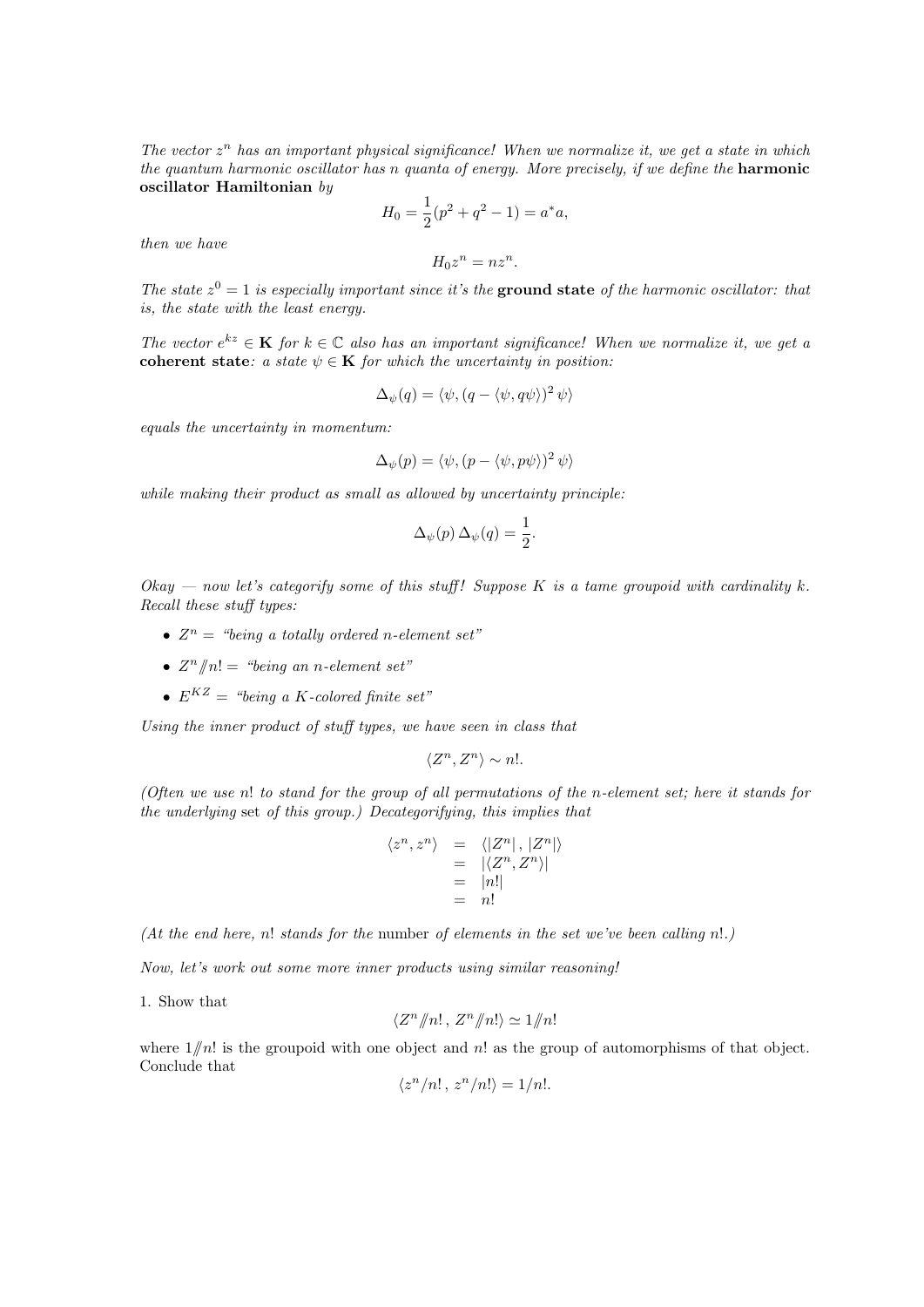The vector  $z^n$  has an important physical significance! When we normalize it, we get a state in which the quantum harmonic oscillator has n quanta of energy. More precisely, if we define the **harmonic** oscillator Hamiltonian by

$$
H_0 = \frac{1}{2}(p^2 + q^2 - 1) = a^*a,
$$

then we have

$$
H_0 z^n = n z^n.
$$

The state  $z^0 = 1$  is especially important since it's the ground state of the harmonic oscillator: that is, the state with the least energy.

The vector  $e^{kz} \in \mathbf{K}$  for  $k \in \mathbb{C}$  also has an important significance! When we normalize it, we get a coherent state: a state  $\psi \in \mathbf{K}$  for which the uncertainty in position:

$$
\Delta_{\psi}(q) = \langle \psi, (q - \langle \psi, q\psi \rangle)^2 \psi \rangle
$$

equals the uncertainty in momentum:

$$
\Delta_{\psi}(p) = \langle \psi, (p - \langle \psi, p\psi \rangle)^2 \psi \rangle
$$

while making their product as small as allowed by uncertainty principle:

$$
\Delta_{\psi}(p) \,\Delta_{\psi}(q) = \frac{1}{2}.
$$

Okay — now let's categorify some of this stuff! Suppose K is a tame groupoid with cardinality k. Recall these stuff types:

- $Z^n =$  "being a totally ordered n-element set"
- $Z^n/n! =$  "being an n-element set"
- $E^{KZ} =$  "being a K-colored finite set"

Using the inner product of stuff types, we have seen in class that

$$
\langle Z^n, Z^n \rangle \sim n!.
$$

(Often we use n! to stand for the group of all permutations of the n-element set; here it stands for the underlying set of this group.) Decategorifying, this implies that

$$
\langle z^n, z^n \rangle = \langle |Z^n|, |Z^n| \rangle
$$
  
= 
$$
|\langle Z^n, Z^n \rangle|
$$
  
= 
$$
|n!|
$$
  
= n!

(At the end here, n! stands for the number of elements in the set we've been calling n!.)

Now, let's work out some more inner products using similar reasoning!

1. Show that

$$
\langle Z^n/\!\!/n!, Z^n/\!\!/n!\rangle \simeq 1/\!\!/n!
$$

where  $1/n!$  is the groupoid with one object and n! as the group of automorphisms of that object. Conclude that

$$
\langle z^n/n!, z^n/n! \rangle = 1/n!.
$$